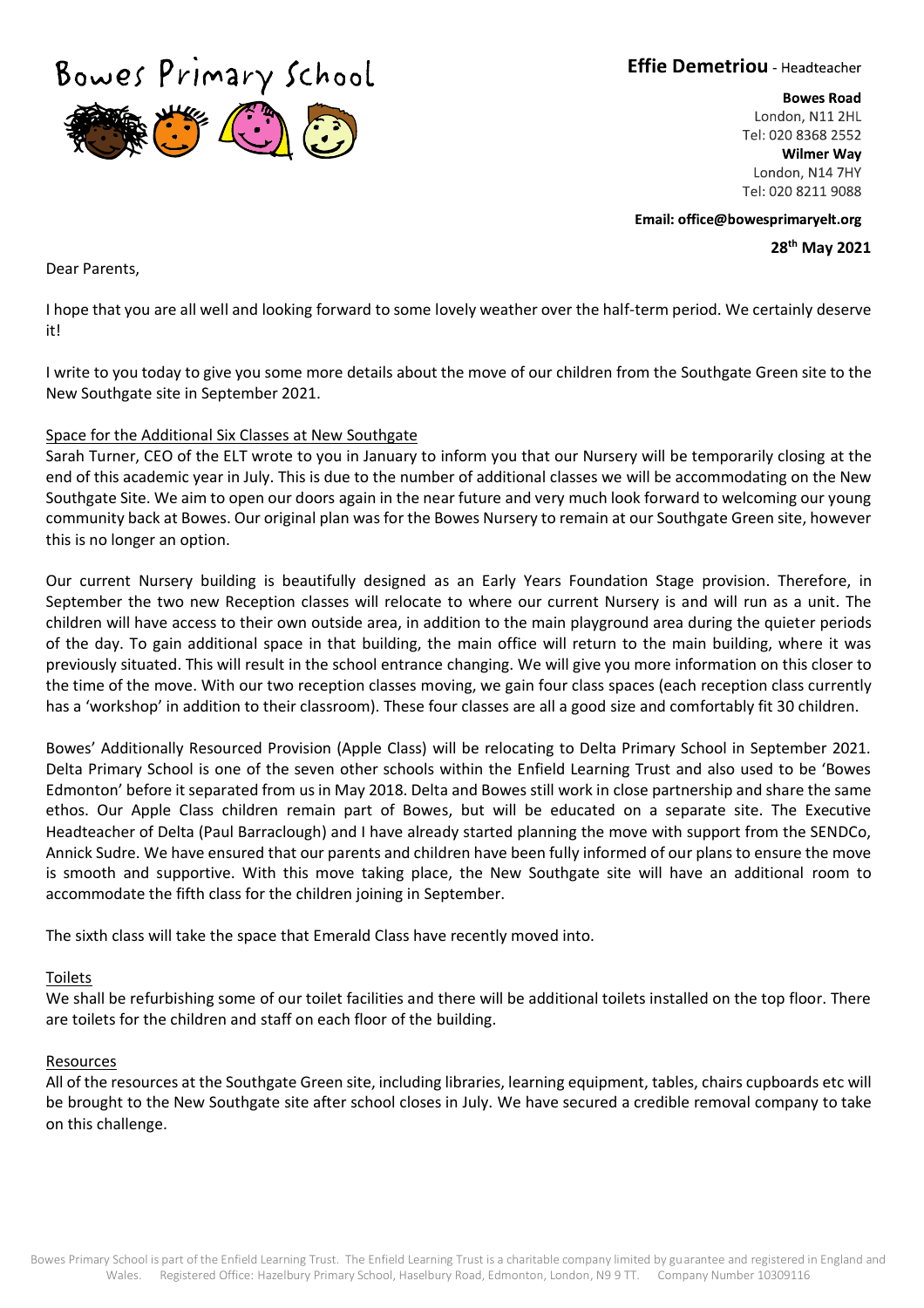Bowes Primary School

**Effie Demetriou** - Headteacher

**Bowes Road** London, N11 2HL Tel: 020 8368 2552 **Wilmer Way** London, N14 7HY Tel: 020 8211 9088

Email: office@bowesprimaryelt.org **28th May 2021**

Dear Parents,

I hope that you are all well and looking forward to some lovely weather over the half-term period. We certainly deserve it!

I write to you today to give you some more details about the move of our children from the Southgate Green site to the New Southgate site in September 2021.

# Space for the Additional Six Classes at New Southgate

Sarah Turner, CEO of the ELT wrote to you in January to inform you that our Nursery will be temporarily closing at the end of this academic year in July. This is due to the number of additional classes we will be accommodating on the New Southgate Site. We aim to open our doors again in the near future and very much look forward to welcoming our young community back at Bowes. Our original plan was for the Bowes Nursery to remain at our Southgate Green site, however this is no longer an option.

Our current Nursery building is beautifully designed as an Early Years Foundation Stage provision. Therefore, in September the two new Reception classes will relocate to where our current Nursery is and will run as a unit. The children will have access to their own outside area, in addition to the main playground area during the quieter periods of the day. To gain additional space in that building, the main office will return to the main building, where it was previously situated. This will result in the school entrance changing. We will give you more information on this closer to the time of the move. With our two reception classes moving, we gain four class spaces (each reception class currently has a 'workshop' in addition to their classroom). These four classes are all a good size and comfortably fit 30 children.

Bowes' Additionally Resourced Provision (Apple Class) will be relocating to Delta Primary School in September 2021. Delta Primary School is one of the seven other schools within the Enfield Learning Trust and also used to be 'Bowes Edmonton' before it separated from us in May 2018. Delta and Bowes still work in close partnership and share the same ethos. Our Apple Class children remain part of Bowes, but will be educated on a separate site. The Executive Headteacher of Delta (Paul Barraclough) and I have already started planning the move with support from the SENDCo, Annick Sudre. We have ensured that our parents and children have been fully informed of our plans to ensure the move is smooth and supportive. With this move taking place, the New Southgate site will have an additional room to accommodate the fifth class for the children joining in September.

The sixth class will take the space that Emerald Class have recently moved into.

## Toilets

We shall be refurbishing some of our toilet facilities and there will be additional toilets installed on the top floor. There are toilets for the children and staff on each floor of the building.

#### Resources

All of the resources at the Southgate Green site, including libraries, learning equipment, tables, chairs cupboards etc will be brought to the New Southgate site after school closes in July. We have secured a credible removal company to take on this challenge.